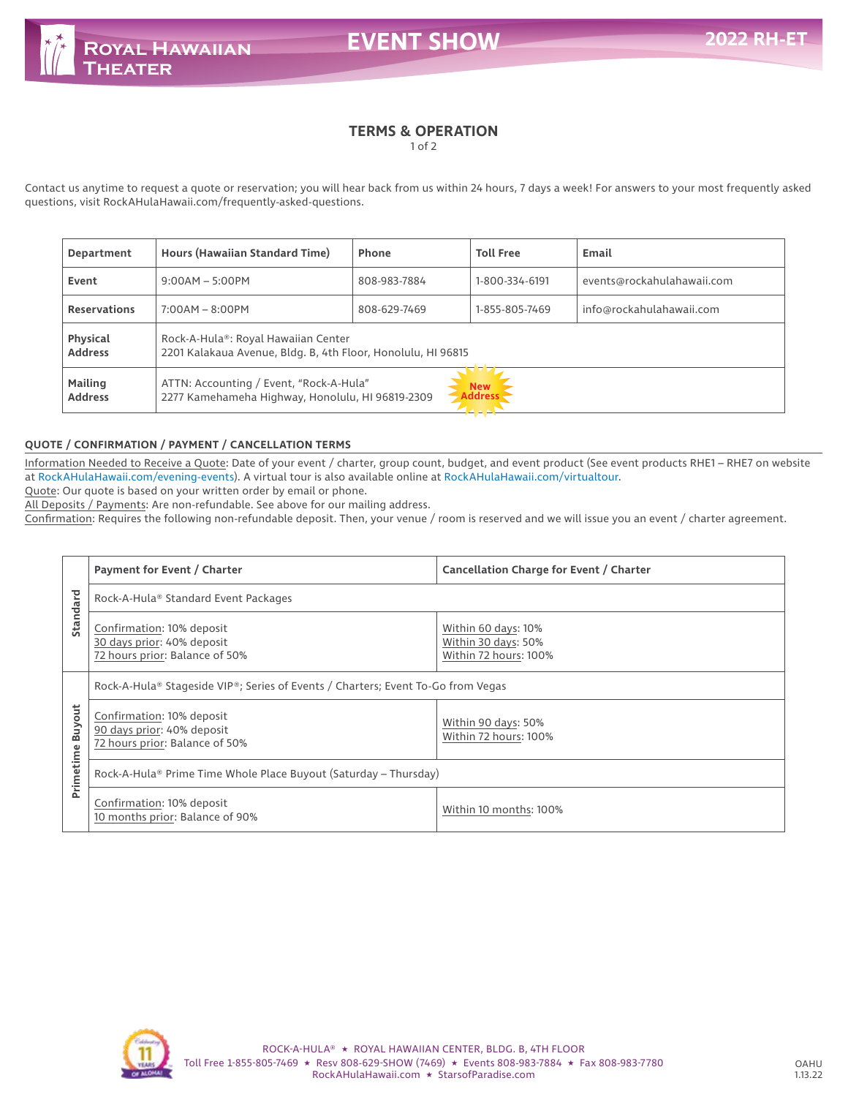**EVENT SHOW** 

# **TERMS & OPERATION**

1 of 2

Contact us anytime to request a quote or reservation; you will hear back from us within 24 hours, 7 days a week! For answers to your most frequently asked questions, visit RockAHulaHawaii.com/frequently-asked-questions.

| Department                       | Hours (Hawaiian Standard Time)                                                                                              | Phone        | <b>Toll Free</b> | Email                      |  |
|----------------------------------|-----------------------------------------------------------------------------------------------------------------------------|--------------|------------------|----------------------------|--|
| Event                            | $9:00AM - 5:00PM$                                                                                                           | 808-983-7884 | 1-800-334-6191   | events@rockahulahawaii.com |  |
| <b>Reservations</b>              | $7:00AM - 8:00PM$                                                                                                           | 808-629-7469 | 1-855-805-7469   | info@rockahulahawaii.com   |  |
| Physical<br><b>Address</b>       | Rock-A-Hula®: Royal Hawaiian Center<br>2201 Kalakaua Avenue, Bldg. B, 4th Floor, Honolulu, HI 96815                         |              |                  |                            |  |
| <b>Mailing</b><br><b>Address</b> | ATTN: Accounting / Event, "Rock-A-Hula"<br><b>New</b><br><b>Address</b><br>2277 Kamehameha Highway, Honolulu, HI 96819-2309 |              |                  |                            |  |

### **QUOTE / CONFIRMATION / PAYMENT / CANCELLATION TERMS**

Information Needed to Receive a Quote: Date of your event / charter, group count, budget, and event product (See event products RHE1 - RHE7 on website at RockAHulaHawaii.com/evening-events). A virtual tour is also available online at RockAHulaHawaii.com/virtualtour.

Quote: Our quote is based on your written order by email or phone.

All Deposits / Payments: Are non-refundable. See above for our mailing address.

Confirmation: Requires the following non-refundable deposit. Then, your venue / room is reserved and we will issue you an event / charter agreement.

|                            | Payment for Event / Charter                                                               | Cancellation Charge for Event / Charter                             |  |  |  |
|----------------------------|-------------------------------------------------------------------------------------------|---------------------------------------------------------------------|--|--|--|
| Standard                   | Rock-A-Hula® Standard Event Packages                                                      |                                                                     |  |  |  |
|                            | Confirmation: 10% deposit<br>30 days prior: 40% deposit<br>72 hours prior: Balance of 50% | Within 60 days: 10%<br>Within 30 days: 50%<br>Within 72 hours: 100% |  |  |  |
|                            | Rock-A-Hula® Stageside VIP®; Series of Events / Charters; Event To-Go from Vegas          |                                                                     |  |  |  |
| <b>Buyout</b><br>Primetime | Confirmation: 10% deposit<br>90 days prior: 40% deposit<br>72 hours prior: Balance of 50% | Within 90 days: 50%<br>Within 72 hours: 100%                        |  |  |  |
|                            | Rock-A-Hula® Prime Time Whole Place Buyout (Saturday – Thursday)                          |                                                                     |  |  |  |
|                            | Confirmation: 10% deposit<br>10 months prior: Balance of 90%                              | Within 10 months: 100%                                              |  |  |  |